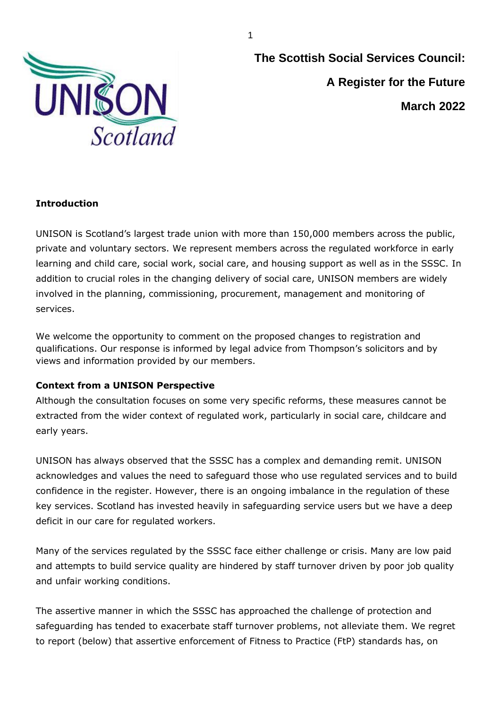

**The Scottish Social Services Council: A Register for the Future March 2022**

# **Introduction**

UNISON is Scotland's largest trade union with more than 150,000 members across the public, private and voluntary sectors. We represent members across the regulated workforce in early learning and child care, social work, social care, and housing support as well as in the SSSC. In addition to crucial roles in the changing delivery of social care, UNISON members are widely involved in the planning, commissioning, procurement, management and monitoring of services.

We welcome the opportunity to comment on the proposed changes to registration and qualifications. Our response is informed by legal advice from Thompson's solicitors and by views and information provided by our members.

# **Context from a UNISON Perspective**

Although the consultation focuses on some very specific reforms, these measures cannot be extracted from the wider context of regulated work, particularly in social care, childcare and early years.

UNISON has always observed that the SSSC has a complex and demanding remit. UNISON acknowledges and values the need to safeguard those who use regulated services and to build confidence in the register. However, there is an ongoing imbalance in the regulation of these key services. Scotland has invested heavily in safeguarding service users but we have a deep deficit in our care for regulated workers.

Many of the services regulated by the SSSC face either challenge or crisis. Many are low paid and attempts to build service quality are hindered by staff turnover driven by poor job quality and unfair working conditions.

The assertive manner in which the SSSC has approached the challenge of protection and safeguarding has tended to exacerbate staff turnover problems, not alleviate them. We regret to report (below) that assertive enforcement of Fitness to Practice (FtP) standards has, on

1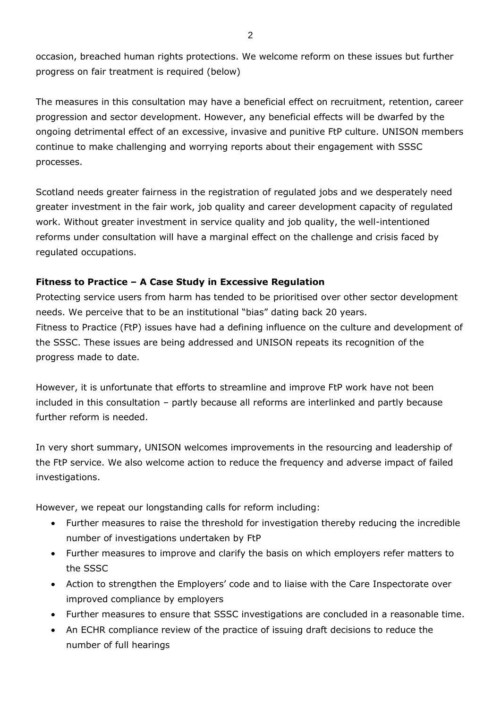occasion, breached human rights protections. We welcome reform on these issues but further progress on fair treatment is required (below)

The measures in this consultation may have a beneficial effect on recruitment, retention, career progression and sector development. However, any beneficial effects will be dwarfed by the ongoing detrimental effect of an excessive, invasive and punitive FtP culture. UNISON members continue to make challenging and worrying reports about their engagement with SSSC processes.

Scotland needs greater fairness in the registration of regulated jobs and we desperately need greater investment in the fair work, job quality and career development capacity of regulated work. Without greater investment in service quality and job quality, the well-intentioned reforms under consultation will have a marginal effect on the challenge and crisis faced by regulated occupations.

# **Fitness to Practice – A Case Study in Excessive Regulation**

Protecting service users from harm has tended to be prioritised over other sector development needs. We perceive that to be an institutional "bias" dating back 20 years. Fitness to Practice (FtP) issues have had a defining influence on the culture and development of the SSSC. These issues are being addressed and UNISON repeats its recognition of the progress made to date.

However, it is unfortunate that efforts to streamline and improve FtP work have not been included in this consultation – partly because all reforms are interlinked and partly because further reform is needed

In very short summary, UNISON welcomes improvements in the resourcing and leadership of the FtP service. We also welcome action to reduce the frequency and adverse impact of failed investigations.

However, we repeat our longstanding calls for reform including:

- Further measures to raise the threshold for investigation thereby reducing the incredible number of investigations undertaken by FtP
- Further measures to improve and clarify the basis on which employers refer matters to the SSSC
- Action to strengthen the Employers' code and to liaise with the Care Inspectorate over improved compliance by employers
- Further measures to ensure that SSSC investigations are concluded in a reasonable time.
- An ECHR compliance review of the practice of issuing draft decisions to reduce the number of full hearings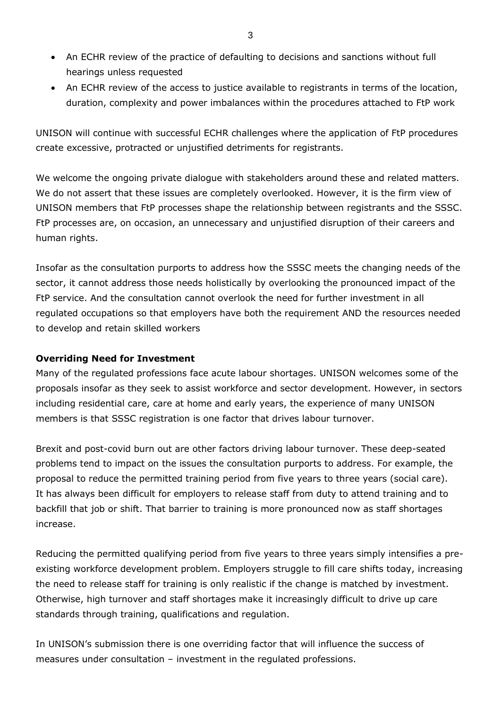- An ECHR review of the practice of defaulting to decisions and sanctions without full hearings unless requested
- An ECHR review of the access to justice available to registrants in terms of the location, duration, complexity and power imbalances within the procedures attached to FtP work

UNISON will continue with successful ECHR challenges where the application of FtP procedures create excessive, protracted or unjustified detriments for registrants.

We welcome the ongoing private dialogue with stakeholders around these and related matters. We do not assert that these issues are completely overlooked. However, it is the firm view of UNISON members that FtP processes shape the relationship between registrants and the SSSC. FtP processes are, on occasion, an unnecessary and unjustified disruption of their careers and human rights.

Insofar as the consultation purports to address how the SSSC meets the changing needs of the sector, it cannot address those needs holistically by overlooking the pronounced impact of the FtP service. And the consultation cannot overlook the need for further investment in all regulated occupations so that employers have both the requirement AND the resources needed to develop and retain skilled workers

# **Overriding Need for Investment**

Many of the regulated professions face acute labour shortages. UNISON welcomes some of the proposals insofar as they seek to assist workforce and sector development. However, in sectors including residential care, care at home and early years, the experience of many UNISON members is that SSSC registration is one factor that drives labour turnover.

Brexit and post-covid burn out are other factors driving labour turnover. These deep-seated problems tend to impact on the issues the consultation purports to address. For example, the proposal to reduce the permitted training period from five years to three years (social care). It has always been difficult for employers to release staff from duty to attend training and to backfill that job or shift. That barrier to training is more pronounced now as staff shortages increase.

Reducing the permitted qualifying period from five years to three years simply intensifies a preexisting workforce development problem. Employers struggle to fill care shifts today, increasing the need to release staff for training is only realistic if the change is matched by investment. Otherwise, high turnover and staff shortages make it increasingly difficult to drive up care standards through training, qualifications and regulation.

In UNISON's submission there is one overriding factor that will influence the success of measures under consultation – investment in the regulated professions.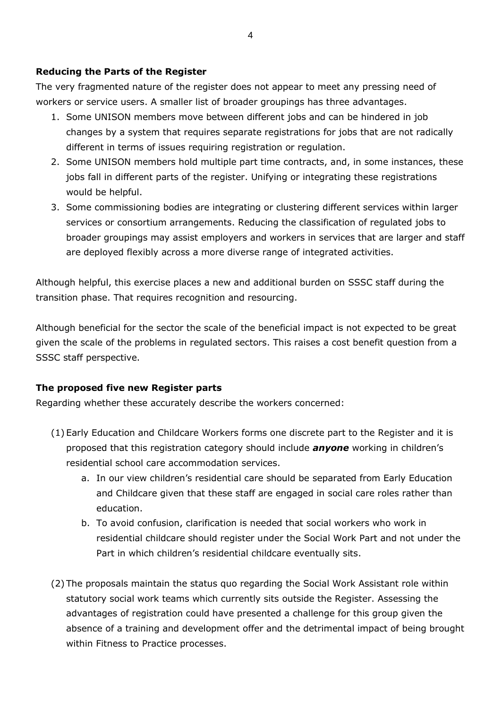## **Reducing the Parts of the Register**

The very fragmented nature of the register does not appear to meet any pressing need of workers or service users. A smaller list of broader groupings has three advantages.

- 1. Some UNISON members move between different jobs and can be hindered in job changes by a system that requires separate registrations for jobs that are not radically different in terms of issues requiring registration or regulation.
- 2. Some UNISON members hold multiple part time contracts, and, in some instances, these jobs fall in different parts of the register. Unifying or integrating these registrations would be helpful.
- 3. Some commissioning bodies are integrating or clustering different services within larger services or consortium arrangements. Reducing the classification of regulated jobs to broader groupings may assist employers and workers in services that are larger and staff are deployed flexibly across a more diverse range of integrated activities.

Although helpful, this exercise places a new and additional burden on SSSC staff during the transition phase. That requires recognition and resourcing.

Although beneficial for the sector the scale of the beneficial impact is not expected to be great given the scale of the problems in regulated sectors. This raises a cost benefit question from a SSSC staff perspective.

# **The proposed five new Register parts**

Regarding whether these accurately describe the workers concerned:

- (1) Early Education and Childcare Workers forms one discrete part to the Register and it is proposed that this registration category should include *anyone* working in children's residential school care accommodation services.
	- a. In our view children's residential care should be separated from Early Education and Childcare given that these staff are engaged in social care roles rather than education.
	- b. To avoid confusion, clarification is needed that social workers who work in residential childcare should register under the Social Work Part and not under the Part in which children's residential childcare eventually sits.
- (2) The proposals maintain the status quo regarding the Social Work Assistant role within statutory social work teams which currently sits outside the Register. Assessing the advantages of registration could have presented a challenge for this group given the absence of a training and development offer and the detrimental impact of being brought within Fitness to Practice processes.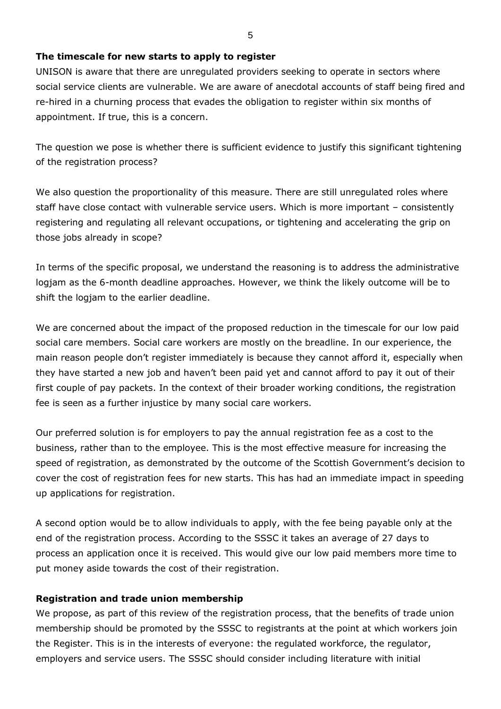### **The timescale for new starts to apply to register**

UNISON is aware that there are unregulated providers seeking to operate in sectors where social service clients are vulnerable. We are aware of anecdotal accounts of staff being fired and re-hired in a churning process that evades the obligation to register within six months of appointment. If true, this is a concern.

The question we pose is whether there is sufficient evidence to justify this significant tightening of the registration process?

We also question the proportionality of this measure. There are still unregulated roles where staff have close contact with vulnerable service users. Which is more important – consistently registering and regulating all relevant occupations, or tightening and accelerating the grip on those jobs already in scope?

In terms of the specific proposal, we understand the reasoning is to address the administrative logjam as the 6-month deadline approaches. However, we think the likely outcome will be to shift the logiam to the earlier deadline.

We are concerned about the impact of the proposed reduction in the timescale for our low paid social care members. Social care workers are mostly on the breadline. In our experience, the main reason people don't register immediately is because they cannot afford it, especially when they have started a new job and haven't been paid yet and cannot afford to pay it out of their first couple of pay packets. In the context of their broader working conditions, the registration fee is seen as a further injustice by many social care workers.

Our preferred solution is for employers to pay the annual registration fee as a cost to the business, rather than to the employee. This is the most effective measure for increasing the speed of registration, as demonstrated by the outcome of the Scottish Government's decision to cover the cost of registration fees for new starts. This has had an immediate impact in speeding up applications for registration.

A second option would be to allow individuals to apply, with the fee being payable only at the end of the registration process. According to the SSSC it takes an average of 27 days to process an application once it is received. This would give our low paid members more time to put money aside towards the cost of their registration.

# **Registration and trade union membership**

We propose, as part of this review of the registration process, that the benefits of trade union membership should be promoted by the SSSC to registrants at the point at which workers join the Register. This is in the interests of everyone: the regulated workforce, the regulator, employers and service users. The SSSC should consider including literature with initial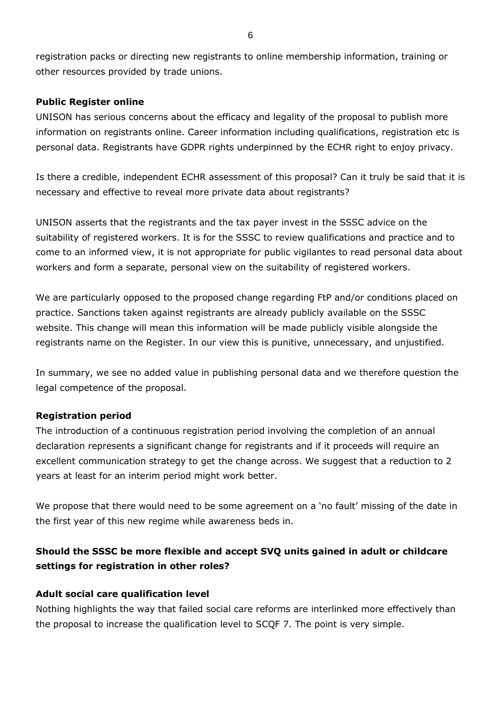registration packs or directing new registrants to online membership information, training or other resources provided by trade unions.

## **Public Register online**

UNISON has serious concerns about the efficacy and legality of the proposal to publish more information on registrants online. Career information including qualifications, registration etc is personal data. Registrants have GDPR rights underpinned by the ECHR right to enjoy privacy.

Is there a credible, independent ECHR assessment of this proposal? Can it truly be said that it is necessary and effective to reveal more private data about registrants?

UNISON asserts that the registrants and the tax payer invest in the SSSC advice on the suitability of registered workers. It is for the SSSC to review qualifications and practice and to come to an informed view, it is not appropriate for public vigilantes to read personal data about workers and form a separate, personal view on the suitability of registered workers.

We are particularly opposed to the proposed change regarding FtP and/or conditions placed on practice. Sanctions taken against registrants are already publicly available on the SSSC website. This change will mean this information will be made publicly visible alongside the registrants name on the Register. In our view this is punitive, unnecessary, and unjustified.

In summary, we see no added value in publishing personal data and we therefore question the legal competence of the proposal.

# **Registration period**

The introduction of a continuous registration period involving the completion of an annual declaration represents a significant change for registrants and if it proceeds will require an excellent communication strategy to get the change across. We suggest that a reduction to 2 years at least for an interim period might work better.

We propose that there would need to be some agreement on a 'no fault' missing of the date in the first year of this new regime while awareness beds in.

# **Should the SSSC be more flexible and accept SVQ units gained in adult or childcare settings for registration in other roles?**

# **Adult social care qualification level**

Nothing highlights the way that failed social care reforms are interlinked more effectively than the proposal to increase the qualification level to SCQF 7. The point is very simple.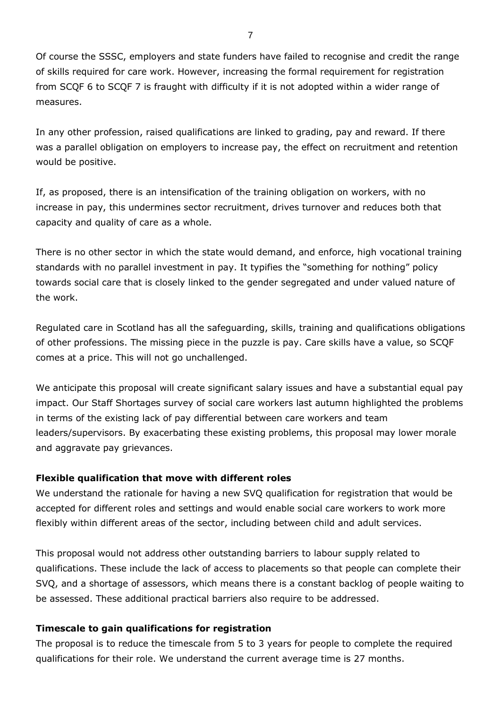Of course the SSSC, employers and state funders have failed to recognise and credit the range of skills required for care work. However, increasing the formal requirement for registration from SCQF 6 to SCQF 7 is fraught with difficulty if it is not adopted within a wider range of measures.

In any other profession, raised qualifications are linked to grading, pay and reward. If there was a parallel obligation on employers to increase pay, the effect on recruitment and retention would be positive.

If, as proposed, there is an intensification of the training obligation on workers, with no increase in pay, this undermines sector recruitment, drives turnover and reduces both that capacity and quality of care as a whole.

There is no other sector in which the state would demand, and enforce, high vocational training standards with no parallel investment in pay. It typifies the "something for nothing" policy towards social care that is closely linked to the gender segregated and under valued nature of the work.

Regulated care in Scotland has all the safeguarding, skills, training and qualifications obligations of other professions. The missing piece in the puzzle is pay. Care skills have a value, so SCQF comes at a price. This will not go unchallenged.

We anticipate this proposal will create significant salary issues and have a substantial equal pay impact. Our Staff Shortages survey of social care workers last autumn highlighted the problems in terms of the existing lack of pay differential between care workers and team leaders/supervisors. By exacerbating these existing problems, this proposal may lower morale and aggravate pay grievances.

#### **Flexible qualification that move with different roles**

We understand the rationale for having a new SVQ qualification for registration that would be accepted for different roles and settings and would enable social care workers to work more flexibly within different areas of the sector, including between child and adult services.

This proposal would not address other outstanding barriers to labour supply related to qualifications. These include the lack of access to placements so that people can complete their SVQ, and a shortage of assessors, which means there is a constant backlog of people waiting to be assessed. These additional practical barriers also require to be addressed.

#### **Timescale to gain qualifications for registration**

The proposal is to reduce the timescale from 5 to 3 years for people to complete the required qualifications for their role. We understand the current average time is 27 months.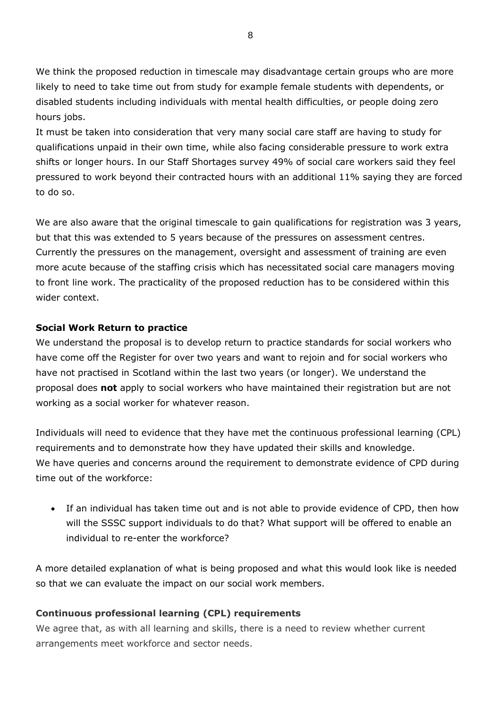We think the proposed reduction in timescale may disadvantage certain groups who are more likely to need to take time out from study for example female students with dependents, or disabled students including individuals with mental health difficulties, or people doing zero hours jobs.

It must be taken into consideration that very many social care staff are having to study for qualifications unpaid in their own time, while also facing considerable pressure to work extra shifts or longer hours. In our Staff Shortages survey 49% of social care workers said they feel pressured to work beyond their contracted hours with an additional 11% saying they are forced to do so.

We are also aware that the original timescale to gain qualifications for registration was 3 years, but that this was extended to 5 years because of the pressures on assessment centres. Currently the pressures on the management, oversight and assessment of training are even more acute because of the staffing crisis which has necessitated social care managers moving to front line work. The practicality of the proposed reduction has to be considered within this wider context.

## **Social Work Return to practice**

We understand the proposal is to develop return to practice standards for social workers who have come off the Register for over two years and want to rejoin and for social workers who have not practised in Scotland within the last two years (or longer). We understand the proposal does **not** apply to social workers who have maintained their registration but are not working as a social worker for whatever reason.

Individuals will need to evidence that they have met the continuous professional learning (CPL) requirements and to demonstrate how they have updated their skills and knowledge. We have queries and concerns around the requirement to demonstrate evidence of CPD during time out of the workforce:

If an individual has taken time out and is not able to provide evidence of CPD, then how will the SSSC support individuals to do that? What support will be offered to enable an individual to re-enter the workforce?

A more detailed explanation of what is being proposed and what this would look like is needed so that we can evaluate the impact on our social work members.

# **Continuous professional learning (CPL) requirements**

We agree that, as with all learning and skills, there is a need to review whether current arrangements meet workforce and sector needs.